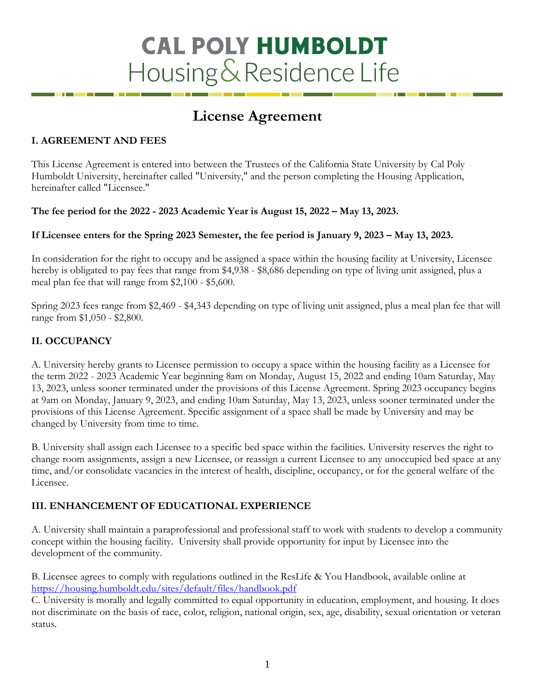# **CAL POLY HUMBOLDT** Housing & Residence Life

# **License Agreement**

# **I. AGREEMENT AND FEES**

This License Agreement is entered into between the Trustees of the California State University by Cal Poly Humboldt University, hereinafter called "University," and the person completing the Housing Application, hereinafter called "Licensee."

# **The fee period for the 2022 - 2023 Academic Year is August 15, 2022 – May 13, 2023.**

# **If Licensee enters for the Spring 2023 Semester, the fee period is January 9, 2023 – May 13, 2023.**

In consideration for the right to occupy and be assigned a space within the housing facility at University, Licensee hereby is obligated to pay fees that range from \$4,938 - \$8,686 depending on type of living unit assigned, plus a meal plan fee that will range from \$2,100 - \$5,600.

Spring 2023 fees range from \$2,469 - \$4,343 depending on type of living unit assigned, plus a meal plan fee that will range from \$1,050 - \$2,800.

# **II. OCCUPANCY**

A. University hereby grants to Licensee permission to occupy a space within the housing facility as a Licensee for the term 2022 - 2023 Academic Year beginning 8am on Monday, August 15, 2022 and ending 10am Saturday, May 13, 2023, unless sooner terminated under the provisions of this License Agreement. Spring 2023 occupancy begins at 9am on Monday, January 9, 2023, and ending 10am Saturday, May 13, 2023, unless sooner terminated under the provisions of this License Agreement. Specific assignment of a space shall be made by University and may be changed by University from time to time.

B. University shall assign each Licensee to a specific bed space within the facilities. University reserves the right to change room assignments, assign a new Licensee, or reassign a current Licensee to any unoccupied bed space at any time, and/or consolidate vacancies in the interest of health, discipline, occupancy, or for the general welfare of the Licensee.

# **III. ENHANCEMENT OF EDUCATIONAL EXPERIENCE**

A. University shall maintain a paraprofessional and professional staff to work with students to develop a community concept within the housing facility. University shall provide opportunity for input by Licensee into the development of the community.

B. Licensee agrees to comply with regulations outlined in the ResLife & You Handbook, available online at <https://housing.humboldt.edu/sites/default/files/handbook.pdf>

C. University is morally and legally committed to equal opportunity in education, employment, and housing. It does not discriminate on the basis of race, color, religion, national origin, sex, age, disability, sexual orientation or veteran status.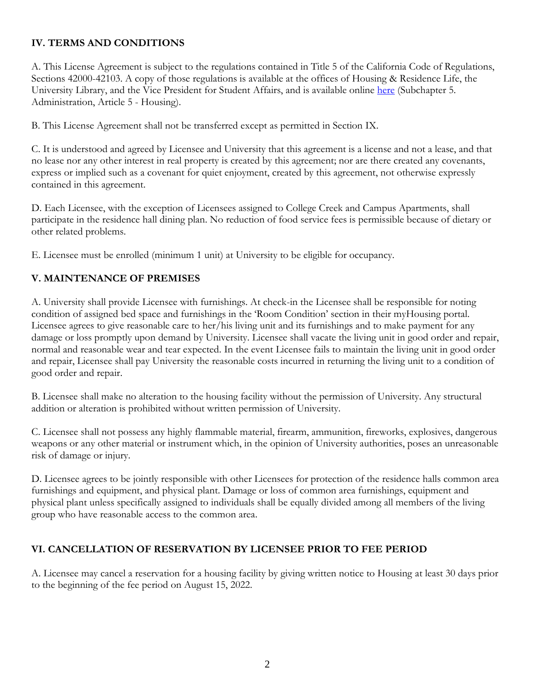# **IV. TERMS AND CONDITIONS**

A. This License Agreement is subject to the regulations contained in Title 5 of the California Code of Regulations, Sections 42000-42103. A copy of those regulations is available at the offices of Housing & Residence Life, the University Library, and the Vice President for Student Affairs, and is available online [here](https://govt.westlaw.com/calregs/Browse/Home/California/CaliforniaCodeofRegulations?guid=I67417180D48311DEBC02831C6D6C108E&originationContext=documenttoc&transitionType=Default&contextData=(sc.Default)) (Subchapter 5. Administration, Article 5 - Housing).

B. This License Agreement shall not be transferred except as permitted in Section IX.

C. It is understood and agreed by Licensee and University that this agreement is a license and not a lease, and that no lease nor any other interest in real property is created by this agreement; nor are there created any covenants, express or implied such as a covenant for quiet enjoyment, created by this agreement, not otherwise expressly contained in this agreement.

D. Each Licensee, with the exception of Licensees assigned to College Creek and Campus Apartments, shall participate in the residence hall dining plan. No reduction of food service fees is permissible because of dietary or other related problems.

E. Licensee must be enrolled (minimum 1 unit) at University to be eligible for occupancy.

# **V. MAINTENANCE OF PREMISES**

A. University shall provide Licensee with furnishings. At check-in the Licensee shall be responsible for noting condition of assigned bed space and furnishings in the 'Room Condition' section in their myHousing portal. Licensee agrees to give reasonable care to her/his living unit and its furnishings and to make payment for any damage or loss promptly upon demand by University. Licensee shall vacate the living unit in good order and repair, normal and reasonable wear and tear expected. In the event Licensee fails to maintain the living unit in good order and repair, Licensee shall pay University the reasonable costs incurred in returning the living unit to a condition of good order and repair.

B. Licensee shall make no alteration to the housing facility without the permission of University. Any structural addition or alteration is prohibited without written permission of University.

C. Licensee shall not possess any highly flammable material, firearm, ammunition, fireworks, explosives, dangerous weapons or any other material or instrument which, in the opinion of University authorities, poses an unreasonable risk of damage or injury.

D. Licensee agrees to be jointly responsible with other Licensees for protection of the residence halls common area furnishings and equipment, and physical plant. Damage or loss of common area furnishings, equipment and physical plant unless specifically assigned to individuals shall be equally divided among all members of the living group who have reasonable access to the common area.

#### **VI. CANCELLATION OF RESERVATION BY LICENSEE PRIOR TO FEE PERIOD**

A. Licensee may cancel a reservation for a housing facility by giving written notice to Housing at least 30 days prior to the beginning of the fee period on August 15, 2022.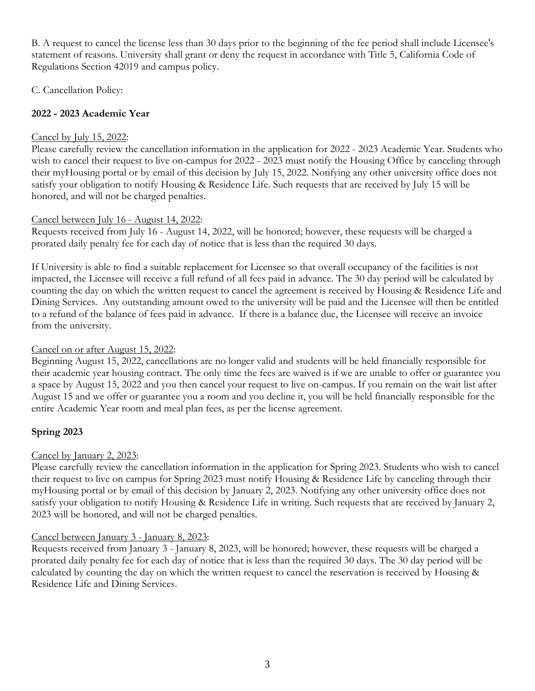B. A request to cancel the license less than 30 days prior to the beginning of the fee period shall include Licensee's statement of reasons. University shall grant or deny the request in accordance with Title 5, California Code of Regulations Section 42019 and campus policy.

C. Cancellation Policy:

#### **2022 - 2023 Academic Year**

#### Cancel by July 15, 2022:

Please carefully review the cancellation information in the application for 2022 - 2023 Academic Year. Students who wish to cancel their request to live on-campus for 2022 - 2023 must notify the Housing Office by canceling through their myHousing portal or by email of this decision by July 15, 2022. Notifying any other university office does not satisfy your obligation to notify Housing & Residence Life. Such requests that are received by July 15 will be honored, and will not be charged penalties.

#### Cancel between July 16 - August 14, 2022:

Requests received from July 16 - August 14, 2022, will be honored; however, these requests will be charged a prorated daily penalty fee for each day of notice that is less than the required 30 days.

If University is able to find a suitable replacement for Licensee so that overall occupancy of the facilities is not impacted, the Licensee will receive a full refund of all fees paid in advance. The 30 day period will be calculated by counting the day on which the written request to cancel the agreement is received by Housing & Residence Life and Dining Services. Any outstanding amount owed to the university will be paid and the Licensee will then be entitled to a refund of the balance of fees paid in advance. If there is a balance due, the Licensee will receive an invoice from the university.

#### Cancel on or after August 15, 2022:

Beginning August 15, 2022, cancellations are no longer valid and students will be held financially responsible for their academic year housing contract. The only time the fees are waived is if we are unable to offer or guarantee you a space by August 15, 2022 and you then cancel your request to live on-campus. If you remain on the wait list after August 15 and we offer or guarantee you a room and you decline it, you will be held financially responsible for the entire Academic Year room and meal plan fees, as per the license agreement.

#### **Spring 2023**

#### Cancel by January 2, 2023:

Please carefully review the cancellation information in the application for Spring 2023. Students who wish to cancel their request to live on campus for Spring 2023 must notify Housing & Residence Life by canceling through their myHousing portal or by email of this decision by January 2, 2023. Notifying any other university office does not satisfy your obligation to notify Housing & Residence Life in writing. Such requests that are received by January 2, 2023 will be honored, and will not be charged penalties.

#### Cancel between January 3 - January 8, 2023:

Requests received from January 3 - January 8, 2023, will be honored; however, these requests will be charged a prorated daily penalty fee for each day of notice that is less than the required 30 days. The 30 day period will be calculated by counting the day on which the written request to cancel the reservation is received by Housing & Residence Life and Dining Services.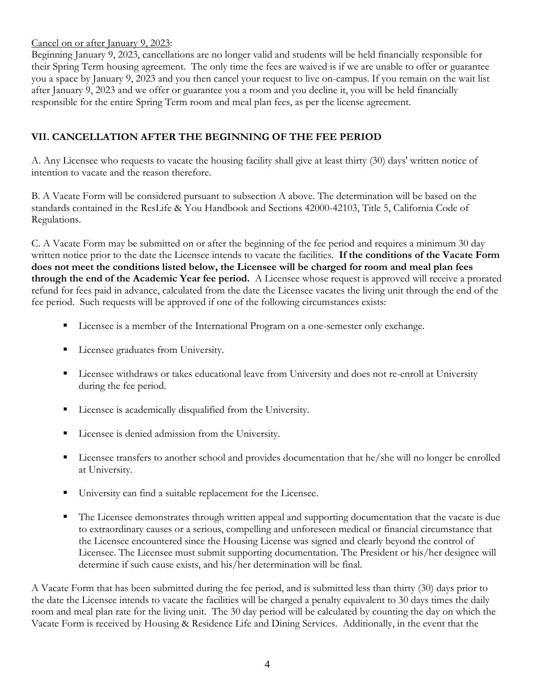#### Cancel on or after January 9, 2023:

Beginning January 9, 2023, cancellations are no longer valid and students will be held financially responsible for their Spring Term housing agreement. The only time the fees are waived is if we are unable to offer or guarantee you a space by January 9, 2023 and you then cancel your request to live on-campus. If you remain on the wait list after January 9, 2023 and we offer or guarantee you a room and you decline it, you will be held financially responsible for the entire Spring Term room and meal plan fees, as per the license agreement.

# **VII. CANCELLATION AFTER THE BEGINNING OF THE FEE PERIOD**

A. Any Licensee who requests to vacate the housing facility shall give at least thirty (30) days' written notice of intention to vacate and the reason therefore.

B. A Vacate Form will be considered pursuant to subsection A above. The determination will be based on the standards contained in the ResLife & You Handbook and Sections 42000-42103, Title 5, California Code of Regulations.

C. A Vacate Form may be submitted on or after the beginning of the fee period and requires a minimum 30 day written notice prior to the date the Licensee intends to vacate the facilities. **If the conditions of the Vacate Form does not meet the conditions listed below, the Licensee will be charged for room and meal plan fees through the end of the Academic Year fee period.** A Licensee whose request is approved will receive a prorated refund for fees paid in advance, calculated from the date the Licensee vacates the living unit through the end of the fee period. Such requests will be approved if one of the following circumstances exists:

- Licensee is a member of the International Program on a one-semester only exchange.
- **Exercise** eraduates from University.
- **Exercise** withdraws or takes educational leave from University and does not re-enroll at University during the fee period.
- Licensee is academically disqualified from the University.
- **Example 1** Licensee is denied admission from the University.
- Licensee transfers to another school and provides documentation that he/she will no longer be enrolled at University.
- University can find a suitable replacement for the Licensee.
- The Licensee demonstrates through written appeal and supporting documentation that the vacate is due to extraordinary causes or a serious, compelling and unforeseen medical or financial circumstance that the Licensee encountered since the Housing License was signed and clearly beyond the control of Licensee. The Licensee must submit supporting documentation. The President or his/her designee will determine if such cause exists, and his/her determination will be final.

A Vacate Form that has been submitted during the fee period, and is submitted less than thirty (30) days prior to the date the Licensee intends to vacate the facilities will be charged a penalty equivalent to 30 days times the daily room and meal plan rate for the living unit. The 30 day period will be calculated by counting the day on which the Vacate Form is received by Housing & Residence Life and Dining Services. Additionally, in the event that the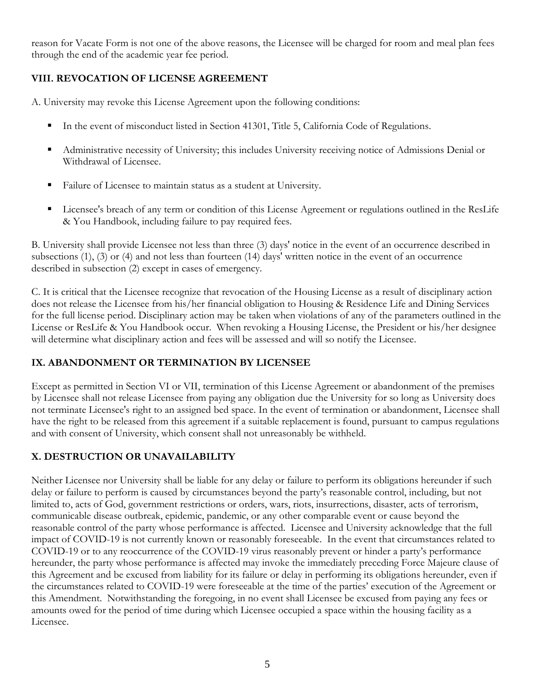reason for Vacate Form is not one of the above reasons, the Licensee will be charged for room and meal plan fees through the end of the academic year fee period.

# **VIII. REVOCATION OF LICENSE AGREEMENT**

A. University may revoke this License Agreement upon the following conditions:

- In the event of misconduct listed in Section 41301, Title 5, California Code of Regulations.
- Administrative necessity of University; this includes University receiving notice of Admissions Denial or Withdrawal of Licensee.
- Failure of Licensee to maintain status as a student at University.
- Licensee's breach of any term or condition of this License Agreement or regulations outlined in the ResLife & You Handbook, including failure to pay required fees.

B. University shall provide Licensee not less than three (3) days' notice in the event of an occurrence described in subsections (1), (3) or (4) and not less than fourteen (14) days' written notice in the event of an occurrence described in subsection (2) except in cases of emergency.

C. It is critical that the Licensee recognize that revocation of the Housing License as a result of disciplinary action does not release the Licensee from his/her financial obligation to Housing & Residence Life and Dining Services for the full license period. Disciplinary action may be taken when violations of any of the parameters outlined in the License or ResLife & You Handbook occur. When revoking a Housing License, the President or his/her designee will determine what disciplinary action and fees will be assessed and will so notify the Licensee.

# **IX. ABANDONMENT OR TERMINATION BY LICENSEE**

Except as permitted in Section VI or VII, termination of this License Agreement or abandonment of the premises by Licensee shall not release Licensee from paying any obligation due the University for so long as University does not terminate Licensee's right to an assigned bed space. In the event of termination or abandonment, Licensee shall have the right to be released from this agreement if a suitable replacement is found, pursuant to campus regulations and with consent of University, which consent shall not unreasonably be withheld.

# **X. DESTRUCTION OR UNAVAILABILITY**

Neither Licensee nor University shall be liable for any delay or failure to perform its obligations hereunder if such delay or failure to perform is caused by circumstances beyond the party's reasonable control, including, but not limited to, acts of God, government restrictions or orders, wars, riots, insurrections, disaster, acts of terrorism, communicable disease outbreak, epidemic, pandemic, or any other comparable event or cause beyond the reasonable control of the party whose performance is affected. Licensee and University acknowledge that the full impact of COVID-19 is not currently known or reasonably foreseeable. In the event that circumstances related to COVID-19 or to any reoccurrence of the COVID-19 virus reasonably prevent or hinder a party's performance hereunder, the party whose performance is affected may invoke the immediately preceding Force Majeure clause of this Agreement and be excused from liability for its failure or delay in performing its obligations hereunder, even if the circumstances related to COVID-19 were foreseeable at the time of the parties' execution of the Agreement or this Amendment. Notwithstanding the foregoing, in no event shall Licensee be excused from paying any fees or amounts owed for the period of time during which Licensee occupied a space within the housing facility as a Licensee.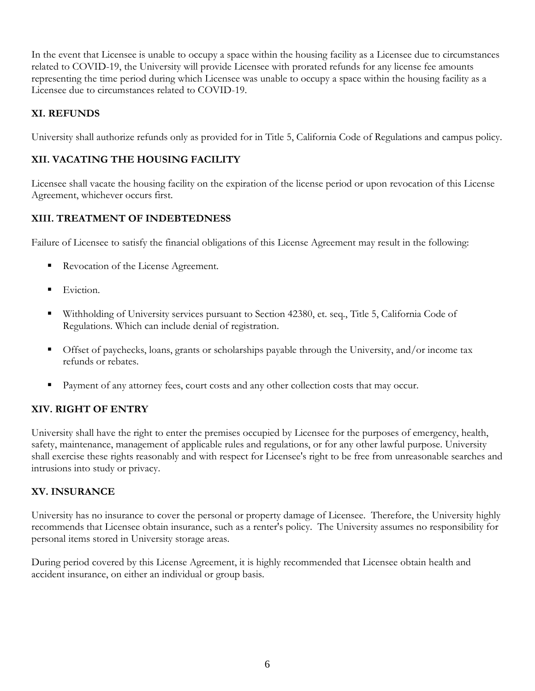In the event that Licensee is unable to occupy a space within the housing facility as a Licensee due to circumstances related to COVID-19, the University will provide Licensee with prorated refunds for any license fee amounts representing the time period during which Licensee was unable to occupy a space within the housing facility as a Licensee due to circumstances related to COVID-19.

#### **XI. REFUNDS**

University shall authorize refunds only as provided for in Title 5, California Code of Regulations and campus policy.

# **XII. VACATING THE HOUSING FACILITY**

Licensee shall vacate the housing facility on the expiration of the license period or upon revocation of this License Agreement, whichever occurs first.

# **XIII. TREATMENT OF INDEBTEDNESS**

Failure of Licensee to satisfy the financial obligations of this License Agreement may result in the following:

- Revocation of the License Agreement.
- Eviction.
- Withholding of University services pursuant to Section 42380, et. seq., Title 5, California Code of Regulations. Which can include denial of registration.
- Offset of paychecks, loans, grants or scholarships payable through the University, and/or income tax refunds or rebates.
- Payment of any attorney fees, court costs and any other collection costs that may occur.

# **XIV. RIGHT OF ENTRY**

University shall have the right to enter the premises occupied by Licensee for the purposes of emergency, health, safety, maintenance, management of applicable rules and regulations, or for any other lawful purpose. University shall exercise these rights reasonably and with respect for Licensee's right to be free from unreasonable searches and intrusions into study or privacy.

#### **XV. INSURANCE**

University has no insurance to cover the personal or property damage of Licensee. Therefore, the University highly recommends that Licensee obtain insurance, such as a renter's policy. The University assumes no responsibility for personal items stored in University storage areas.

During period covered by this License Agreement, it is highly recommended that Licensee obtain health and accident insurance, on either an individual or group basis.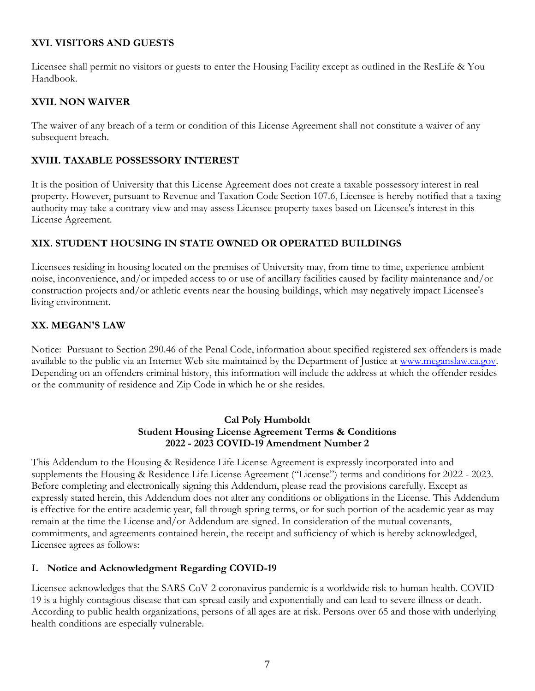#### **XVI. VISITORS AND GUESTS**

Licensee shall permit no visitors or guests to enter the Housing Facility except as outlined in the ResLife & You Handbook.

#### **XVII. NON WAIVER**

The waiver of any breach of a term or condition of this License Agreement shall not constitute a waiver of any subsequent breach.

#### **XVIII. TAXABLE POSSESSORY INTEREST**

It is the position of University that this License Agreement does not create a taxable possessory interest in real property. However, pursuant to Revenue and Taxation Code Section 107.6, Licensee is hereby notified that a taxing authority may take a contrary view and may assess Licensee property taxes based on Licensee's interest in this License Agreement.

#### **XIX. STUDENT HOUSING IN STATE OWNED OR OPERATED BUILDINGS**

Licensees residing in housing located on the premises of University may, from time to time, experience ambient noise, inconvenience, and/or impeded access to or use of ancillary facilities caused by facility maintenance and/or construction projects and/or athletic events near the housing buildings, which may negatively impact Licensee's living environment.

#### **XX. MEGAN'S LAW**

Notice: Pursuant to Section 290.46 of the Penal Code, information about specified registered sex offenders is made available to the public via an Internet Web site maintained by the Department of Justice at [www.meganslaw.ca.gov.](http://www.meganslaw.ca.gov/) Depending on an offenders criminal history, this information will include the address at which the offender resides or the community of residence and Zip Code in which he or she resides.

#### **Cal Poly Humboldt Student Housing License Agreement Terms & Conditions 2022 - 2023 COVID-19 Amendment Number 2**

This Addendum to the Housing & Residence Life License Agreement is expressly incorporated into and supplements the Housing & Residence Life License Agreement ("License") terms and conditions for 2022 - 2023. Before completing and electronically signing this Addendum, please read the provisions carefully. Except as expressly stated herein, this Addendum does not alter any conditions or obligations in the License. This Addendum is effective for the entire academic year, fall through spring terms, or for such portion of the academic year as may remain at the time the License and/or Addendum are signed. In consideration of the mutual covenants, commitments, and agreements contained herein, the receipt and sufficiency of which is hereby acknowledged, Licensee agrees as follows:

#### **I. Notice and Acknowledgment Regarding COVID-19**

Licensee acknowledges that the SARS-CoV-2 coronavirus pandemic is a worldwide risk to human health. COVID-19 is a highly contagious disease that can spread easily and exponentially and can lead to severe illness or death. According to public health organizations, persons of all ages are at risk. Persons over 65 and those with underlying health conditions are especially vulnerable.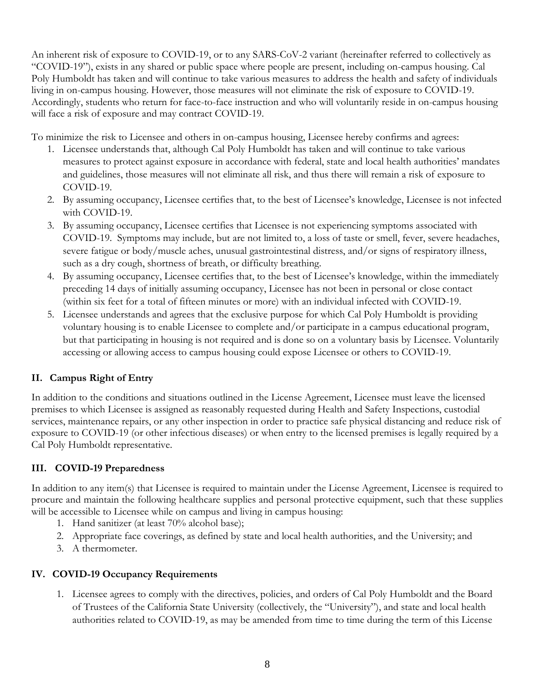An inherent risk of exposure to COVID-19, or to any SARS-CoV-2 variant (hereinafter referred to collectively as "COVID-19"), exists in any shared or public space where people are present, including on-campus housing. Cal Poly Humboldt has taken and will continue to take various measures to address the health and safety of individuals living in on-campus housing. However, those measures will not eliminate the risk of exposure to COVID-19. Accordingly, students who return for face-to-face instruction and who will voluntarily reside in on-campus housing will face a risk of exposure and may contract COVID-19.

To minimize the risk to Licensee and others in on-campus housing, Licensee hereby confirms and agrees:

- 1. Licensee understands that, although Cal Poly Humboldt has taken and will continue to take various measures to protect against exposure in accordance with federal, state and local health authorities' mandates and guidelines, those measures will not eliminate all risk, and thus there will remain a risk of exposure to COVID-19.
- 2. By assuming occupancy, Licensee certifies that, to the best of Licensee's knowledge, Licensee is not infected with COVID-19.
- 3. By assuming occupancy, Licensee certifies that Licensee is not experiencing symptoms associated with COVID-19. Symptoms may include, but are not limited to, a loss of taste or smell, fever, severe headaches, severe fatigue or body/muscle aches, unusual gastrointestinal distress, and/or signs of respiratory illness, such as a dry cough, shortness of breath, or difficulty breathing.
- 4. By assuming occupancy, Licensee certifies that, to the best of Licensee's knowledge, within the immediately preceding 14 days of initially assuming occupancy, Licensee has not been in personal or close contact (within six feet for a total of fifteen minutes or more) with an individual infected with COVID-19.
- 5. Licensee understands and agrees that the exclusive purpose for which Cal Poly Humboldt is providing voluntary housing is to enable Licensee to complete and/or participate in a campus educational program, but that participating in housing is not required and is done so on a voluntary basis by Licensee. Voluntarily accessing or allowing access to campus housing could expose Licensee or others to COVID-19.

# **II. Campus Right of Entry**

In addition to the conditions and situations outlined in the License Agreement, Licensee must leave the licensed premises to which Licensee is assigned as reasonably requested during Health and Safety Inspections, custodial services, maintenance repairs, or any other inspection in order to practice safe physical distancing and reduce risk of exposure to COVID-19 (or other infectious diseases) or when entry to the licensed premises is legally required by a Cal Poly Humboldt representative.

# **III. COVID-19 Preparedness**

In addition to any item(s) that Licensee is required to maintain under the License Agreement, Licensee is required to procure and maintain the following healthcare supplies and personal protective equipment, such that these supplies will be accessible to Licensee while on campus and living in campus housing:

- 1. Hand sanitizer (at least 70% alcohol base);
- 2. Appropriate face coverings, as defined by state and local health authorities, and the University; and
- 3. A thermometer.

# **IV. COVID-19 Occupancy Requirements**

1. Licensee agrees to comply with the directives, policies, and orders of Cal Poly Humboldt and the Board of Trustees of the California State University (collectively, the "University"), and state and local health authorities related to COVID-19, as may be amended from time to time during the term of this License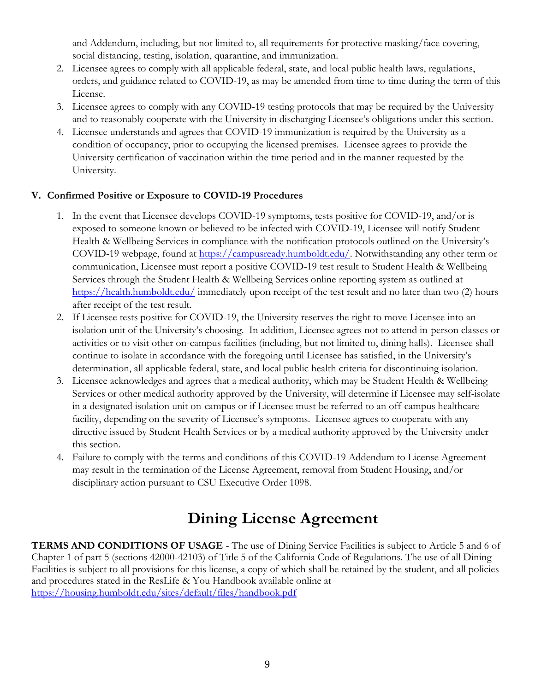and Addendum, including, but not limited to, all requirements for protective masking/face covering, social distancing, testing, isolation, quarantine, and immunization.

- 2. Licensee agrees to comply with all applicable federal, state, and local public health laws, regulations, orders, and guidance related to COVID-19, as may be amended from time to time during the term of this License.
- 3. Licensee agrees to comply with any COVID-19 testing protocols that may be required by the University and to reasonably cooperate with the University in discharging Licensee's obligations under this section.
- 4. Licensee understands and agrees that COVID-19 immunization is required by the University as a condition of occupancy, prior to occupying the licensed premises. Licensee agrees to provide the University certification of vaccination within the time period and in the manner requested by the University.

# **V. Confirmed Positive or Exposure to COVID-19 Procedures**

- 1. In the event that Licensee develops COVID-19 symptoms, tests positive for COVID-19, and/or is exposed to someone known or believed to be infected with COVID-19, Licensee will notify Student Health & Wellbeing Services in compliance with the notification protocols outlined on the University's COVID-19 webpage, found at [https://campusready.humboldt.edu/.](https://campusready.humboldt.edu/) Notwithstanding any other term or communication, Licensee must report a positive COVID-19 test result to Student Health & Wellbeing Services through the Student Health & Wellbeing Services online reporting system as outlined at <https://health.humboldt.edu/> immediately upon receipt of the test result and no later than two (2) hours after receipt of the test result.
- 2. If Licensee tests positive for COVID-19, the University reserves the right to move Licensee into an isolation unit of the University's choosing. In addition, Licensee agrees not to attend in-person classes or activities or to visit other on-campus facilities (including, but not limited to, dining halls). Licensee shall continue to isolate in accordance with the foregoing until Licensee has satisfied, in the University's determination, all applicable federal, state, and local public health criteria for discontinuing isolation.
- 3. Licensee acknowledges and agrees that a medical authority, which may be Student Health & Wellbeing Services or other medical authority approved by the University, will determine if Licensee may self-isolate in a designated isolation unit on-campus or if Licensee must be referred to an off-campus healthcare facility, depending on the severity of Licensee's symptoms. Licensee agrees to cooperate with any directive issued by Student Health Services or by a medical authority approved by the University under this section.
- 4. Failure to comply with the terms and conditions of this COVID-19 Addendum to License Agreement may result in the termination of the License Agreement, removal from Student Housing, and/or disciplinary action pursuant to CSU Executive Order 1098.

# **Dining License Agreement**

**TERMS AND CONDITIONS OF USAGE** - The use of Dining Service Facilities is subject to Article 5 and 6 of Chapter 1 of part 5 (sections 42000-42103) of Title 5 of the California Code of Regulations. The use of all Dining Facilities is subject to all provisions for this license, a copy of which shall be retained by the student, and all policies and procedures stated in the ResLife & You Handbook available online at <https://housing.humboldt.edu/sites/default/files/handbook.pdf>